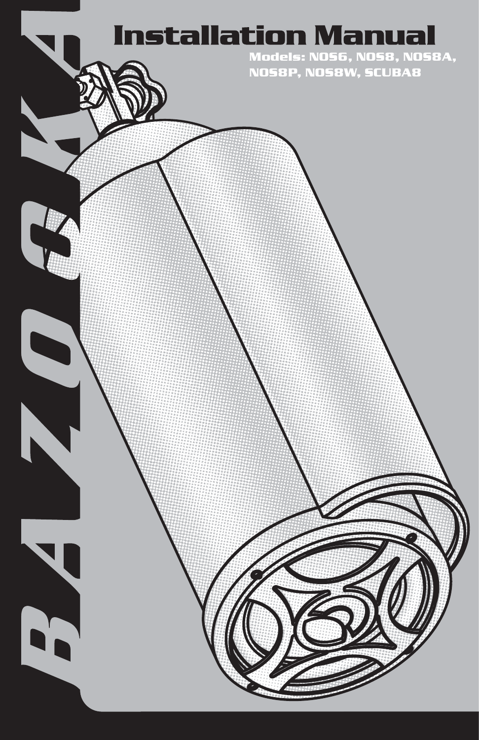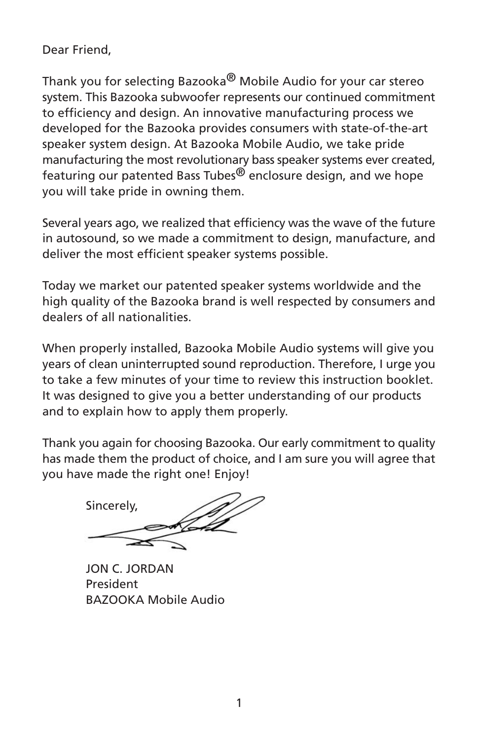Dear Friend,

Thank you for selecting Bazooka<sup>®</sup> Mobile Audio for your car stereo system. This Bazooka subwoofer represents our continued commitment to efficiency and design. An innovative manufacturing process we developed for the Bazooka provides consumers with state-of-the-art speaker system design. At Bazooka Mobile Audio, we take pride manufacturing the most revolutionary bass speaker systems ever created, featuring our patented Bass Tubes<sup>®</sup> enclosure design, and we hope you will take pride in owning them.

Several years ago, we realized that efficiency was the wave of the future in autosound, so we made a commitment to design, manufacture, and deliver the most efficient speaker systems possible.

Today we market our patented speaker systems worldwide and the high quality of the Bazooka brand is well respected by consumers and dealers of all nationalities

When properly installed, Bazooka Mobile Audio systems will give you years of clean uninterrupted sound reproduction. Therefore, I urge you to take a few minutes of your time to review this instruction booklet. It was designed to give you a better understanding of our products and to explain how to apply them properly.

Thank you again for choosing Bazooka. Our early commitment to quality has made them the product of choice, and I am sure you will agree that you have made the right one! Enjoy!

Sincerely,

**JON C. JORDAN** President **BAZOOKA Mobile Audio**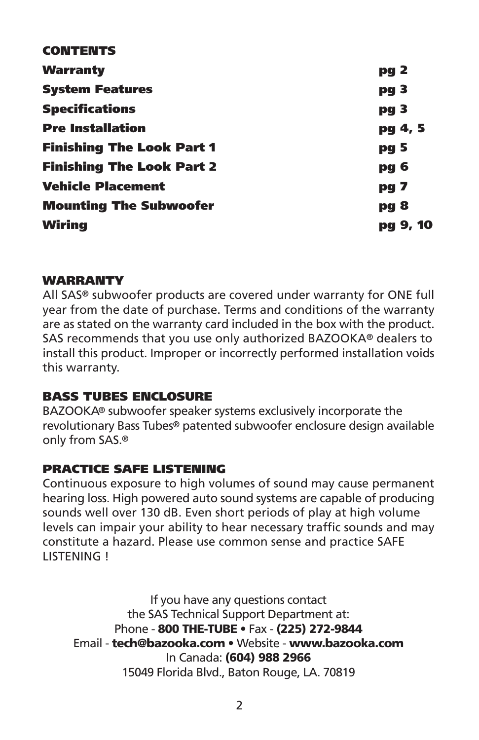| <b>CONTENTS</b>                  |                 |
|----------------------------------|-----------------|
| Warranty                         | pg 2            |
| <b>System Features</b>           | pg <sub>3</sub> |
| <b>Specifications</b>            | pg 3            |
| <b>Pre Installation</b>          | pg 4, 5         |
| <b>Finishing The Look Part 1</b> | pg 5            |
| <b>Finishing The Look Part 2</b> | pg 6            |
| <b>Vehicle Placement</b>         | pg 7            |
| <b>Mounting The Subwoofer</b>    | <b>pg 8</b>     |
| Wiring                           | pg 9, 10        |
|                                  |                 |

#### **WARRANTY**

All SAS<sup>®</sup> subwoofer products are covered under warranty for ONE full year from the date of purchase. Terms and conditions of the warranty are as stated on the warranty card included in the box with the product. SAS recommends that you use only authorized BAZOOKA® dealers to install this product. Improper or incorrectly performed installation voids this warranty.

#### **BASS TUBES ENCLOSURE**

BAZOOKA® subwoofer speaker systems exclusively incorporate the revolutionary Bass Tubes® patented subwoofer enclosure design available only from SAS.<sup>®</sup>

#### **PRACTICE SAFE LISTENING**

Continuous exposure to high volumes of sound may cause permanent hearing loss. High powered auto sound systems are capable of producing sounds well over 130 dB. Even short periods of play at high volume levels can impair your ability to hear necessary traffic sounds and may constitute a hazard. Please use common sense and practice SAFE LISTENING !

If you have any questions contact the SAS Technical Support Department at: Phone - 800 THE-TUBE . Fax - (225) 272-9844 Email - tech@bazooka.com • Website - www.bazooka.com In Canada: (604) 988 2966 15049 Florida Blvd., Baton Rouge, LA. 70819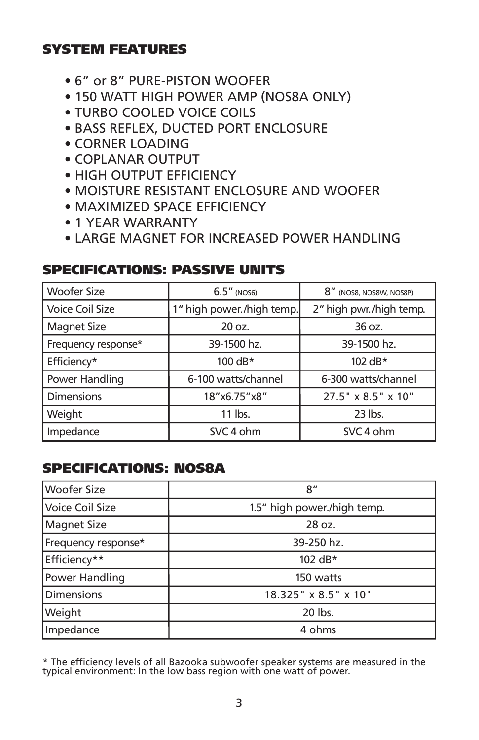# SYSTEM FEATURES

- $\bullet$  6" or 8" PURF-PISTON WOOFFR
- 150 WATT HIGH POWER AMP (NOS8A ONLY)
- TURBO COOLED VOICE COILS
- BASS REFLEX, DUCTED PORT ENCLOSURE
- CORNER LOADING
- COPLANAR OUTPUT
- HIGH OUTPUT FFFICIENCY
- MOISTURE RESISTANT ENCLOSURE AND WOOFER
- MAXIMIZED SPACE EFFICIENCY
- $\bullet$  1 YFAR WARRANTY
- LARGE MAGNET FOR INCREASED POWER HANDLING

| <b>Woofer Size</b>  | $6.5''$ (NOS6)            | 8" (NOS8, NOS8W, NOS8P) |
|---------------------|---------------------------|-------------------------|
| Voice Coil Size     | 1" high power./high temp. | 2" high pwr./high temp. |
| <b>Magnet Size</b>  | 20 oz.                    | 36 oz.                  |
| Frequency response* | 39-1500 hz.               | 39-1500 hz.             |
| Efficiency*         | 100 dB $*$                | 102 dB $*$              |
| Power Handling      | 6-100 watts/channel       | 6-300 watts/channel     |
| <b>Dimensions</b>   | 18"x6.75"x8"              | 27.5" x 8.5" x 10"      |
| Weight              | 11 lbs.                   | $23$ lbs.               |
| Impedance           | SVC 4 ohm                 | SVC 4 ohm               |

## SPECIFICATIONS: PASSIVE UNITS

# SPECIFICATIONS: NOS8A

| <b>Woofer Size</b>  | 8"                          |
|---------------------|-----------------------------|
| Voice Coil Size     | 1.5" high power./high temp. |
| Magnet Size         | 28 oz.                      |
| Frequency response* | 39-250 hz.                  |
| Efficiency**        | 102 dB*                     |
| Power Handling      | 150 watts                   |
| <b>Dimensions</b>   | 18.325" x 8.5" x 10"        |
| Weight              | 20 lbs.                     |
| Impedance           | 4 ohms                      |

\* The efficiency levels of all Bazooka subwoofer speaker systems are measured in the typical environment: In the low bass region with one watt of power.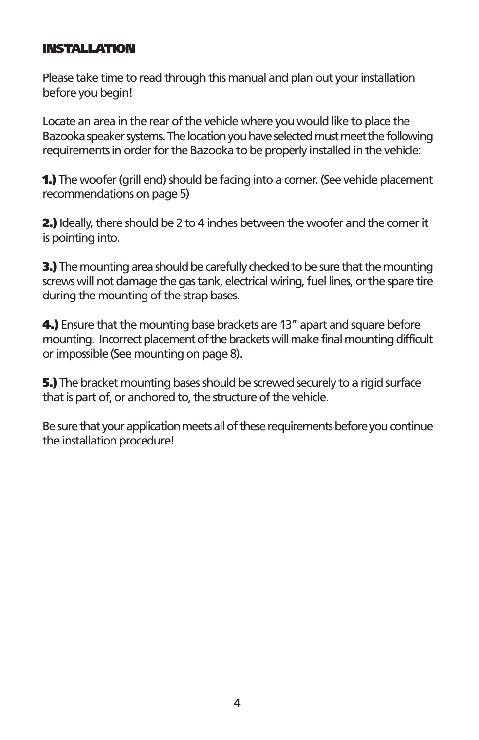#### **INSTALLATION**

Please take time to read through this manual and plan out your installation before you begin!

Locate an area in the rear of the vehicle where you would like to place the Bazooka speaker systems. The location you have selected must meet the following requirements in order for the Bazooka to be properly installed in the vehicle:

1.) The woofer (grill end) should be facing into a corner. (See vehicle placement recommendations on page 5)

2.) Ideally, there should be 2 to 4 inches between the woofer and the corner it is pointing into.

**3.)** The mounting area should be carefully checked to be sure that the mounting screws will not damage the gas tank, electrical wiring, fuel lines, or the spare tire during the mounting of the strap bases.

4.) Ensure that the mounting base brackets are 13" apart and square before mounting. Incorrect placement of the brackets will make final mounting difficult or impossible (See mounting on page 8).

5.) The bracket mounting bases should be screwed securely to a rigid surface that is part of, or anchored to, the structure of the vehicle.

Be sure that your application meets all of these requirements before you continue the installation procedure!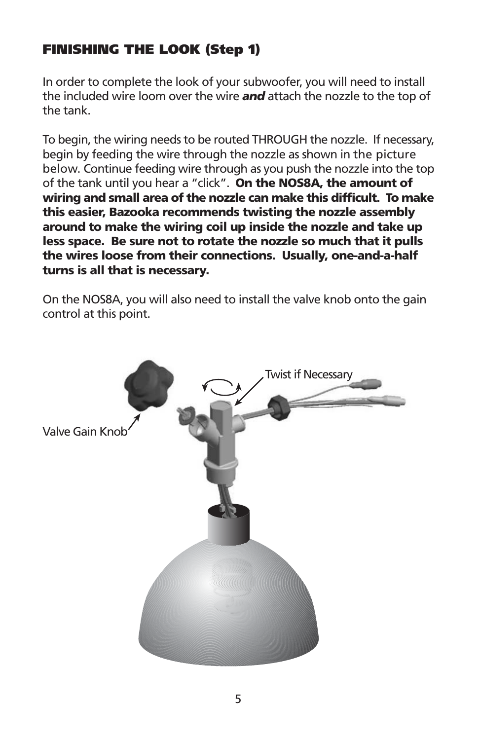# **FINISHING THE LOOK (Step 1)**

In order to complete the look of your subwoofer, you will need to install the included wire loom over the wire and attach the nozzle to the top of the tank

To begin, the wiring needs to be routed THROUGH the nozzle. If necessary, begin by feeding the wire through the nozzle as shown in the picture below. Continue feeding wire through as you push the nozzle into the top of the tank until you hear a "click". On the NOS8A, the amount of wiring and small area of the nozzle can make this difficult. To make this easier, Bazooka recommends twisting the nozzle assembly around to make the wiring coil up inside the nozzle and take up less space. Be sure not to rotate the nozzle so much that it pulls the wires loose from their connections. Usually, one-and-a-half turns is all that is necessary.

On the NOS8A, you will also need to install the valve knob onto the gain control at this point.

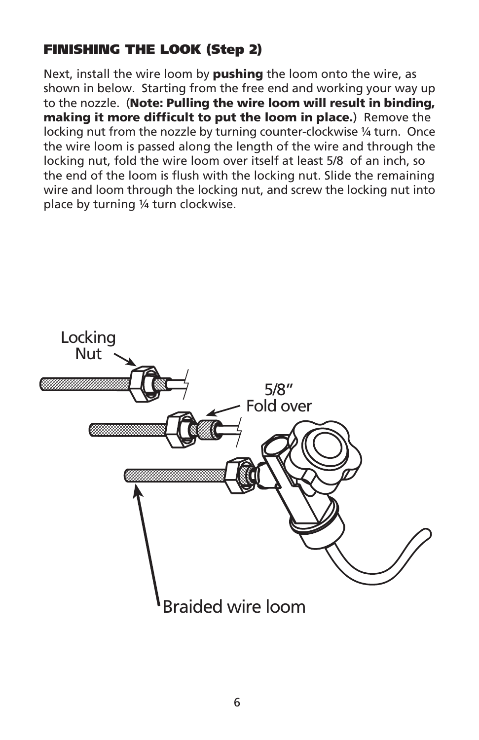# **FINISHING THE LOOK (Step 2)**

Next, install the wire loom by pushing the loom onto the wire, as shown in below. Starting from the free end and working your way up to the nozzle. (Note: Pulling the wire loom will result in binding, making it more difficult to put the loom in place.) Remove the locking nut from the nozzle by turning counter-clockwise 1/4 turn. Once the wire loom is passed along the length of the wire and through the locking nut, fold the wire loom over itself at least 5/8 of an inch, so the end of the loom is flush with the locking nut. Slide the remaining wire and loom through the locking nut, and screw the locking nut into place by turning 1/4 turn clockwise.

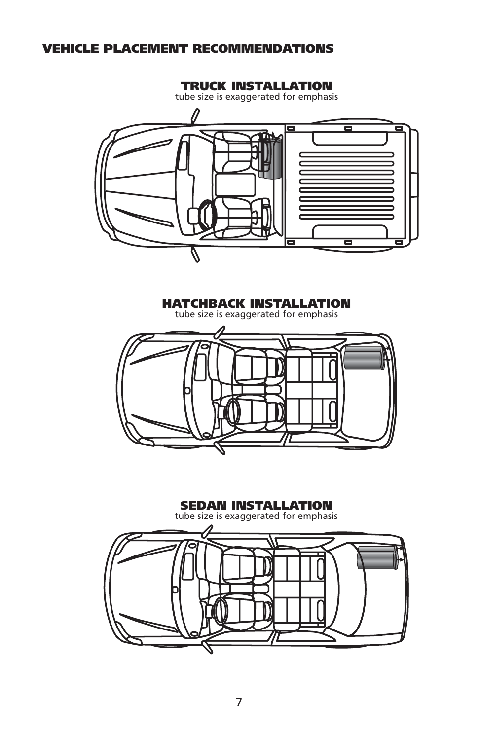#### **VEHICLE PLACEMENT RECOMMENDATIONS**



**HATCHBACK INSTALLATION** tube size is exaggerated for emphasis

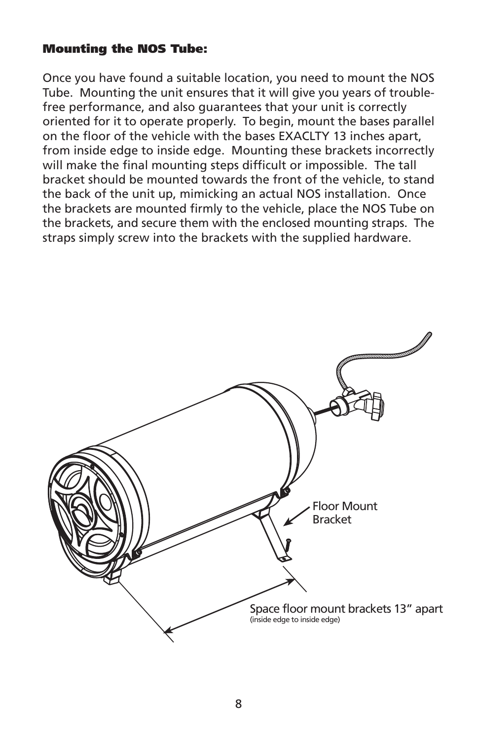#### **Mounting the NOS Tube:**

Once you have found a suitable location, you need to mount the NOS Tube. Mounting the unit ensures that it will give you years of troublefree performance, and also quarantees that your unit is correctly oriented for it to operate properly. To begin, mount the bases parallel on the floor of the vehicle with the bases EXACLTY 13 inches apart, from inside edge to inside edge. Mounting these brackets incorrectly will make the final mounting steps difficult or impossible. The tall bracket should be mounted towards the front of the vehicle, to stand the back of the unit up, mimicking an actual NOS installation. Once the brackets are mounted firmly to the vehicle, place the NOS Tube on the brackets, and secure them with the enclosed mounting straps. The straps simply screw into the brackets with the supplied hardware.

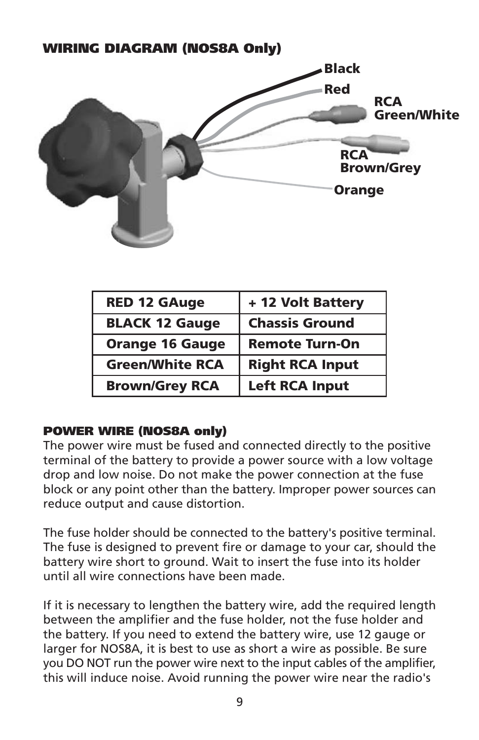# **WIRING DIAGRAM (NOS8A Only) Black** Red **RCA Green/White RCA Brown/Grev Orange**

| <b>RED 12 GAuge</b>    | + 12 Volt Battery      |
|------------------------|------------------------|
| <b>BLACK 12 Gauge</b>  | <b>Chassis Ground</b>  |
| <b>Orange 16 Gauge</b> | <b>Remote Turn-On</b>  |
| <b>Green/White RCA</b> | <b>Right RCA Input</b> |
| <b>Brown/Grey RCA</b>  | <b>Left RCA Input</b>  |

# **POWER WIRE (NOS8A only)**

The power wire must be fused and connected directly to the positive terminal of the battery to provide a power source with a low voltage drop and low noise. Do not make the power connection at the fuse block or any point other than the battery. Improper power sources can reduce output and cause distortion.

The fuse holder should be connected to the battery's positive terminal. The fuse is designed to prevent fire or damage to your car, should the battery wire short to ground. Wait to insert the fuse into its holder until all wire connections have been made.

If it is necessary to lengthen the battery wire, add the required length between the amplifier and the fuse holder, not the fuse holder and the battery. If you need to extend the battery wire, use 12 gauge or larger for NOS8A, it is best to use as short a wire as possible. Be sure you DO NOT run the power wire next to the input cables of the amplifier, this will induce noise. Avoid running the power wire near the radio's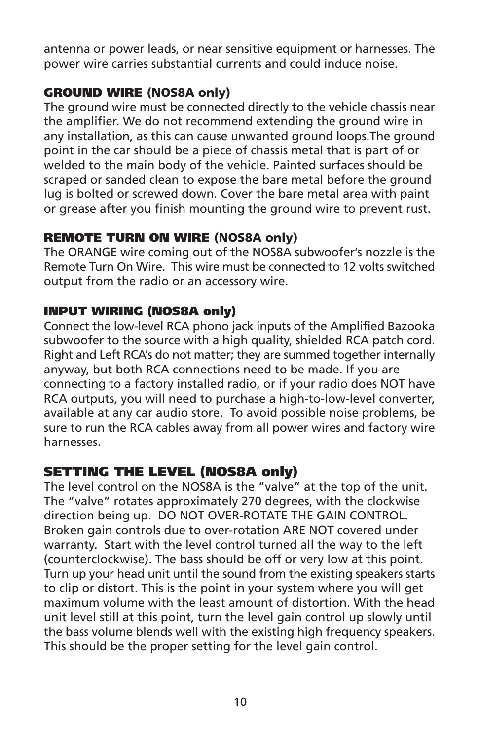antenna or power leads, or near sensitive equipment or harnesses. The power wire carries substantial currents and could induce noise.

# **GROUND WIRE (NOS8A only)**

The ground wire must be connected directly to the vehicle chassis near the amplifier. We do not recommend extending the ground wire in any installation, as this can cause unwanted ground loops. The ground point in the car should be a piece of chassis metal that is part of or welded to the main body of the vehicle. Painted surfaces should be scraped or sanded clean to expose the bare metal before the ground lug is bolted or screwed down. Cover the bare metal area with paint or grease after you finish mounting the ground wire to prevent rust.

### **REMOTE TURN ON WIRE (NOS8A only)**

The ORANGE wire coming out of the NOS8A subwoofer's nozzle is the Remote Turn On Wire. This wire must be connected to 12 volts switched output from the radio or an accessory wire.

# **INPUT WIRING (NOS8A only)**

Connect the low-level RCA phono jack inputs of the Amplified Bazooka subwoofer to the source with a high quality, shielded RCA patch cord. Right and Left RCA's do not matter; they are summed together internally anyway, but both RCA connections need to be made. If you are connecting to a factory installed radio, or if your radio does NOT have RCA outputs, you will need to purchase a high-to-low-level converter. available at any car audio store. To avoid possible noise problems, be sure to run the RCA cables away from all power wires and factory wire harnesses

# **SETTING THE LEVEL (NOS8A only)**

The level control on the NOS8A is the "valve" at the top of the unit. The "valve" rotates approximately 270 degrees, with the clockwise direction being up. DO NOT OVER-ROTATE THE GAIN CONTROL. Broken gain controls due to over-rotation ARE NOT covered under warranty. Start with the level control turned all the way to the left (counterclockwise). The bass should be off or very low at this point. Turn up your head unit until the sound from the existing speakers starts to clip or distort. This is the point in your system where you will get maximum volume with the least amount of distortion. With the head unit level still at this point, turn the level gain control up slowly until the bass volume blends well with the existing high frequency speakers. This should be the proper setting for the level gain control.